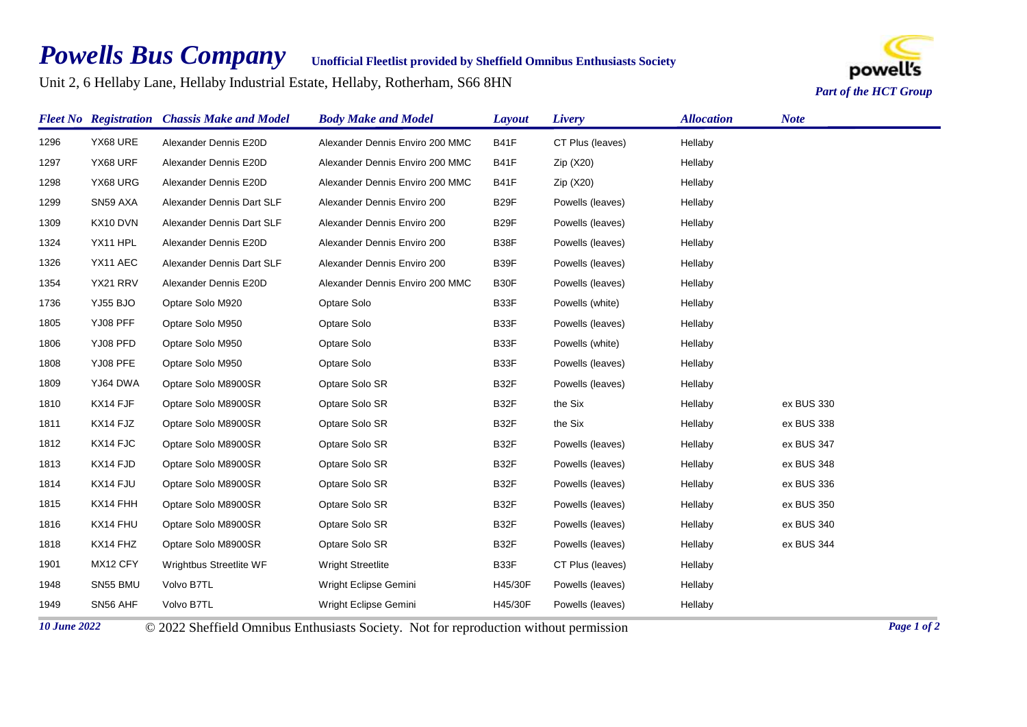## *Powells Bus Company*

**Unofficial Fleetlist provided by Sheffield Omnibus Enthusiasts Society**

Unit 2, 6 Hellaby Lane, Hellaby Industrial Estate, Hellaby, Rotherham, S66 8HN



|      |          | <b>Fleet No Registration Chassis Make and Model</b> | <b>Body Make and Model</b>      | Layout            | Livery           | <b>Allocation</b> | <b>Note</b> |
|------|----------|-----------------------------------------------------|---------------------------------|-------------------|------------------|-------------------|-------------|
| 1296 | YX68 URE | Alexander Dennis E20D                               | Alexander Dennis Enviro 200 MMC | <b>B41F</b>       | CT Plus (leaves) | Hellaby           |             |
| 1297 | YX68 URF | Alexander Dennis E20D                               | Alexander Dennis Enviro 200 MMC | <b>B41F</b>       | Zip (X20)        | Hellaby           |             |
| 1298 | YX68 URG | Alexander Dennis E20D                               | Alexander Dennis Enviro 200 MMC | <b>B41F</b>       | Zip (X20)        | Hellaby           |             |
| 1299 | SN59 AXA | Alexander Dennis Dart SLF                           | Alexander Dennis Enviro 200     | B <sub>29</sub> F | Powells (leaves) | Hellaby           |             |
| 1309 | KX10 DVN | Alexander Dennis Dart SLF                           | Alexander Dennis Enviro 200     | B <sub>29</sub> F | Powells (leaves) | Hellaby           |             |
| 1324 | YX11 HPL | Alexander Dennis E20D                               | Alexander Dennis Enviro 200     | B38F              | Powells (leaves) | Hellaby           |             |
| 1326 | YX11 AEC | Alexander Dennis Dart SLF                           | Alexander Dennis Enviro 200     | B39F              | Powells (leaves) | Hellaby           |             |
| 1354 | YX21 RRV | Alexander Dennis E20D                               | Alexander Dennis Enviro 200 MMC | B30F              | Powells (leaves) | Hellaby           |             |
| 1736 | YJ55 BJO | Optare Solo M920                                    | Optare Solo                     | B33F              | Powells (white)  | Hellaby           |             |
| 1805 | YJ08 PFF | Optare Solo M950                                    | Optare Solo                     | B33F              | Powells (leaves) | Hellaby           |             |
| 1806 | YJ08 PFD | Optare Solo M950                                    | Optare Solo                     | B33F              | Powells (white)  | Hellaby           |             |
| 1808 | YJ08 PFE | Optare Solo M950                                    | Optare Solo                     | B33F              | Powells (leaves) | Hellaby           |             |
| 1809 | YJ64 DWA | Optare Solo M8900SR                                 | Optare Solo SR                  | B32F              | Powells (leaves) | Hellaby           |             |
| 1810 | KX14 FJF | Optare Solo M8900SR                                 | Optare Solo SR                  | B32F              | the Six          | Hellaby           | ex BUS 330  |
| 1811 | KX14 FJZ | Optare Solo M8900SR                                 | Optare Solo SR                  | B32F              | the Six          | Hellaby           | ex BUS 338  |
| 1812 | KX14 FJC | Optare Solo M8900SR                                 | Optare Solo SR                  | B32F              | Powells (leaves) | Hellaby           | ex BUS 347  |
| 1813 | KX14 FJD | Optare Solo M8900SR                                 | Optare Solo SR                  | B32F              | Powells (leaves) | Hellaby           | ex BUS 348  |
| 1814 | KX14 FJU | Optare Solo M8900SR                                 | Optare Solo SR                  | B32F              | Powells (leaves) | Hellaby           | ex BUS 336  |
| 1815 | KX14 FHH | Optare Solo M8900SR                                 | Optare Solo SR                  | B32F              | Powells (leaves) | Hellaby           | ex BUS 350  |
| 1816 | KX14 FHU | Optare Solo M8900SR                                 | Optare Solo SR                  | B32F              | Powells (leaves) | Hellaby           | ex BUS 340  |
| 1818 | KX14 FHZ | Optare Solo M8900SR                                 | Optare Solo SR                  | B32F              | Powells (leaves) | Hellaby           | ex BUS 344  |
| 1901 | MX12 CFY | Wrightbus Streetlite WF                             | Wright Streetlite               | B33F              | CT Plus (leaves) | Hellaby           |             |
| 1948 | SN55 BMU | Volvo B7TL                                          | Wright Eclipse Gemini           | H45/30F           | Powells (leaves) | Hellaby           |             |
| 1949 | SN56 AHF | Volvo B7TL                                          | Wright Eclipse Gemini           | H45/30F           | Powells (leaves) | Hellaby           |             |

*10 June 2022* © 2022 Sheffield Omnibus Enthusiasts Society. Not for reproduction without permission *Page 1 of 2*